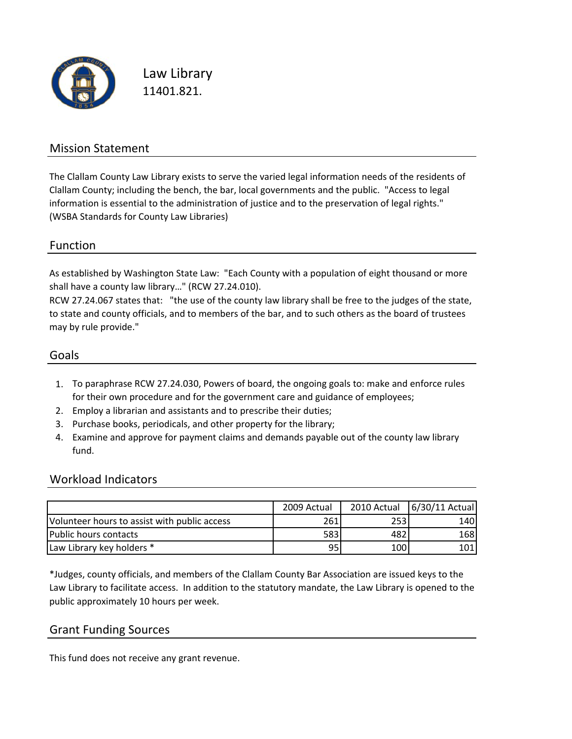

Law Library 11401.821.

### Mission Statement

The Clallam County Law Library exists to serve the varied legal information needs of the residents of Clallam County; including the bench, the bar, local governments and the public. "Access to legal information is essential to the administration of justice and to the preservation of legal rights." (WSBA Standards for County Law Libraries)

#### Function

As established by Washington State Law: "Each County with a population of eight thousand or more shall have a county law library…" (RCW 27.24.010).

RCW 27.24.067 states that: "the use of the county law library shall be free to the judges of the state, to state and county officials, and to members of the bar, and to such others as the board of trustees may by rule provide."

#### Goals

- 1. To paraphrase RCW 27.24.030, Powers of board, the ongoing goals to: make and enforce rules for their own procedure and for the government care and guidance of employees;
- 2. Employ a librarian and assistants and to prescribe their duties;
- 3. Purchase books, periodicals, and other property for the library;
- 4. Examine and approve for payment claims and demands payable out of the county law library fund.

#### Workload Indicators

|                                              | 2009 Actual     |     | 2010 Actual   6/30/11 Actual |
|----------------------------------------------|-----------------|-----|------------------------------|
| Volunteer hours to assist with public access | 261             | 253 | 140                          |
| lPublic hours contacts                       | 583             | 482 | 168                          |
| Law Library key holders *                    | 95 <sub>1</sub> | 100 | 101                          |

\*Judges, county officials, and members of the Clallam County Bar Association are issued keys to the Law Library to facilitate access. In addition to the statutory mandate, the Law Library is opened to the public approximately 10 hours per week.

#### Grant Funding Sources

This fund does not receive any grant revenue.